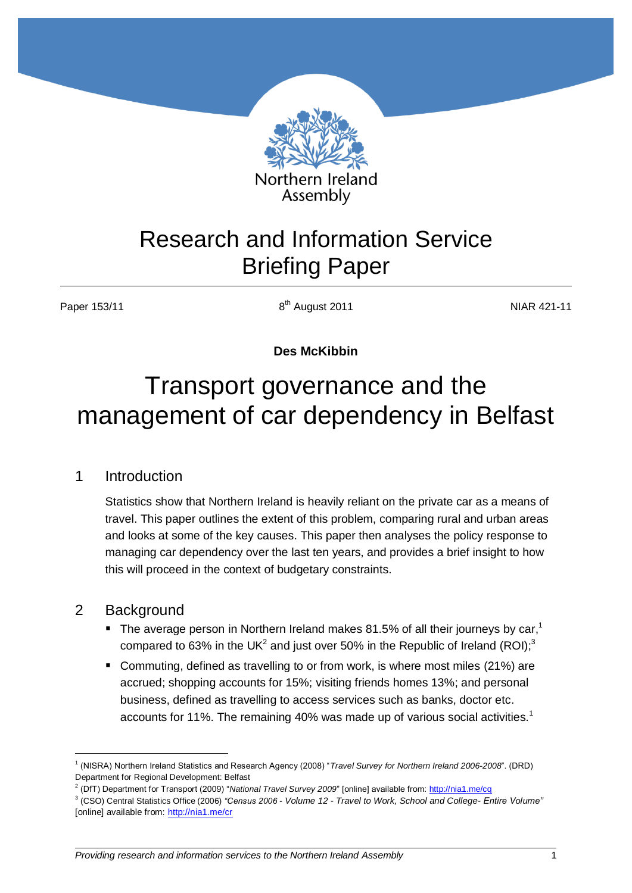

## Research and Information Service Briefing Paper

Paper 153/11

8<sup>th</sup> August 2011 **NIAR 421-11** 

**Des McKibbin**

# Transport governance and the management of car dependency in Belfast

## 1 Introduction

Statistics show that Northern Ireland is heavily reliant on the private car as a means of travel. This paper outlines the extent of this problem, comparing rural and urban areas and looks at some of the key causes. This paper then analyses the policy response to managing car dependency over the last ten years, and provides a brief insight to how this will proceed in the context of budgetary constraints.

## 2 Background

<u>.</u>

- $\blacksquare$  The average person in Northern Ireland makes 81.5% of all their journeys by car,<sup>1</sup> compared to 63% in the UK<sup>2</sup> and just over 50% in the Republic of Ireland (ROI);<sup>3</sup>
- Commuting, defined as travelling to or from work, is where most miles (21%) are accrued; shopping accounts for 15%; visiting friends homes 13%; and personal business, defined as travelling to access services such as banks, doctor etc. accounts for 11%. The remaining 40% was made up of various social activities.<sup>1</sup>

<sup>1</sup> (NISRA) Northern Ireland Statistics and Research Agency (2008) "*Travel Survey for Northern Ireland 2006-2008*". (DRD) Department for Regional Development: Belfast

<sup>2</sup> (DfT) Department for Transport (2009) "*National Travel Survey 2009*" [online] available from[: http://nia1.me/cq](http://nia1.me/cq)

<sup>3</sup> (CSO) Central Statistics Office (2006) *"Census 2006 - Volume 12 - Travel to Work, School and College- Entire Volume"*  [online] available from:<http://nia1.me/cr>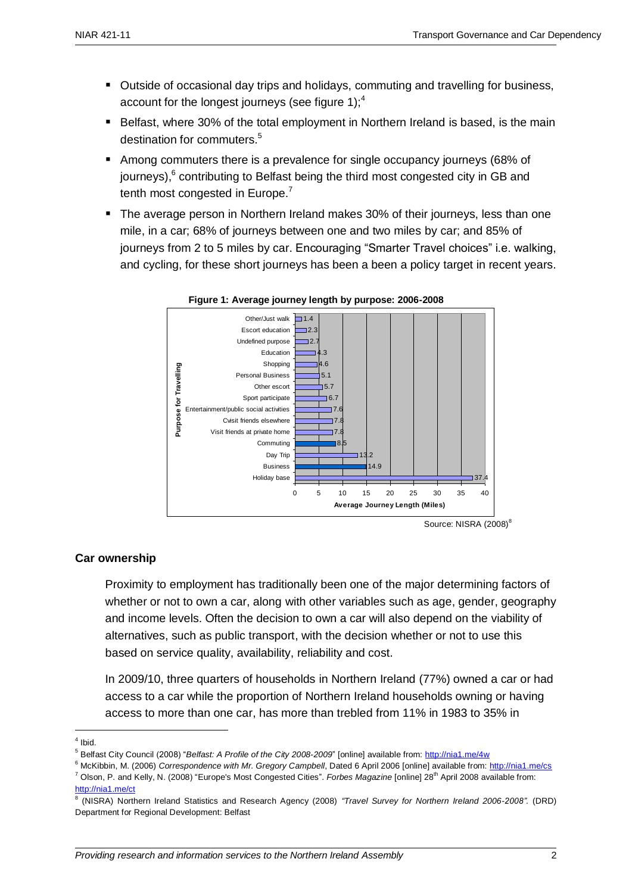- Outside of occasional day trips and holidays, commuting and travelling for business, account for the longest journeys (see figure 1); $<sup>4</sup>$ </sup>
- Belfast, where 30% of the total employment in Northern Ireland is based, is the main destination for commuters.<sup>5</sup>
- Among commuters there is a prevalence for single occupancy journeys (68% of journeys),<sup>6</sup> contributing to Belfast being the third most congested city in GB and tenth most congested in Europe.<sup>7</sup>
- **The average person in Northern Ireland makes 30% of their journeys, less than one** mile, in a car; 68% of journeys between one and two miles by car; and 85% of journeys from 2 to 5 miles by car. Encouraging "Smarter Travel choices" i.e. walking, and cycling, for these short journeys has been a been a policy target in recent years.





#### **Car ownership**

Proximity to employment has traditionally been one of the major determining factors of whether or not to own a car, along with other variables such as age, gender, geography and income levels. Often the decision to own a car will also depend on the viability of alternatives, such as public transport, with the decision whether or not to use this based on service quality, availability, reliability and cost.

In 2009/10, three quarters of households in Northern Ireland (77%) owned a car or had access to a car while the proportion of Northern Ireland households owning or having access to more than one car, has more than trebled from 11% in 1983 to 35% in

<sup>6</sup> McKibbin, M. (2006) *Correspondence with Mr. Gregory Campbell*, Dated 6 April 2006 [online] available from:<http://nia1.me/cs> <sup>7</sup> Olson, P. and Kelly, N. (2008) "Europe's Most Congested Cities". *Forbes Magazine* [online] 28<sup>th</sup> April 2008 available from: <http://nia1.me/ct>

Source: NISRA (2008)<sup>8</sup>

<sup>&</sup>lt;u>.</u>  $<sup>4</sup>$  Ibid.</sup>

<sup>5</sup> Belfast City Council (2008) "*Belfast: A Profile of the City 2008-2009*" [online] available from:<http://nia1.me/4w>

<sup>8</sup> (NISRA) Northern Ireland Statistics and Research Agency (2008) *"Travel Survey for Northern Ireland 2006-2008".* (DRD) Department for Regional Development: Belfast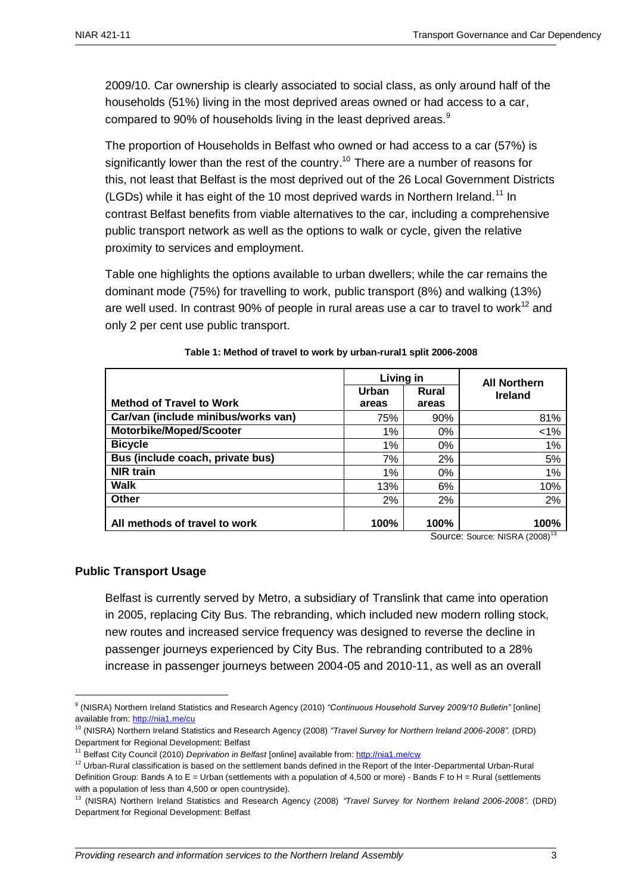2009/10. Car ownership is clearly associated to social class, as only around half of the households (51%) living in the most deprived areas owned or had access to a car, compared to 90% of households living in the least deprived areas.<sup>9</sup>

The proportion of Households in Belfast who owned or had access to a car (57%) is significantly lower than the rest of the country.<sup>10</sup> There are a number of reasons for this, not least that Belfast is the most deprived out of the 26 Local Government Districts (LGDs) while it has eight of the 10 most deprived wards in Northern Ireland.<sup>11</sup> In contrast Belfast benefits from viable alternatives to the car, including a comprehensive public transport network as well as the options to walk or cycle, given the relative proximity to services and employment.

Table one highlights the options available to urban dwellers; while the car remains the dominant mode (75%) for travelling to work, public transport (8%) and walking (13%) are well used. In contrast 90% of people in rural areas use a car to travel to work<sup>12</sup> and only 2 per cent use public transport.

|                                     | Living in      |                | <b>All Northern</b> |  |
|-------------------------------------|----------------|----------------|---------------------|--|
| <b>Method of Travel to Work</b>     | Urban<br>areas | Rural<br>areas | <b>Ireland</b>      |  |
| Car/van (include minibus/works van) | 75%            | 90%            | 81%                 |  |
| Motorbike/Moped/Scooter             | 1%             | $0\%$          | $< 1\%$             |  |
| <b>Bicycle</b>                      | 1%             | $0\%$          | 1%                  |  |
| Bus (include coach, private bus)    | 7%             | 2%             | 5%                  |  |
| <b>NIR</b> train                    | 1%             | 0%             | 1%                  |  |
| Walk                                | 13%            | 6%             | 10%                 |  |
| Other                               | 2%             | 2%             | 2%                  |  |
| All methods of travel to work       | 100%           | 100%           | 100%<br>$0 - 13$    |  |

| Table 1: Method of travel to work by urban-rural1 split 2006-2008 |  |
|-------------------------------------------------------------------|--|
|-------------------------------------------------------------------|--|

Source: Source: NISRA (2008)

#### **Public Transport Usage**

<u>.</u>

Belfast is currently served by Metro, a subsidiary of Translink that came into operation in 2005, replacing City Bus. The rebranding, which included new modern rolling stock, new routes and increased service frequency was designed to reverse the decline in passenger journeys experienced by City Bus. The rebranding contributed to a 28% increase in passenger journeys between 2004-05 and 2010-11, as well as an overall

<sup>9</sup> (NISRA) Northern Ireland Statistics and Research Agency (2010) *"Continuous Household Survey 2009/10 Bulletin"* [online] available from:<http://nia1.me/cu>

<sup>10</sup> (NISRA) Northern Ireland Statistics and Research Agency (2008) *"Travel Survey for Northern Ireland 2006-2008".* (DRD) Department for Regional Development: Belfast

<sup>11</sup> Belfast City Council (2010) *Deprivation in Belfast* [online] available from[: http://nia1.me/cw](http://nia1.me/cw)

<sup>&</sup>lt;sup>12</sup> Urban-Rural classification is based on the settlement bands defined in the Report of the Inter-Departmental Urban-Rural Definition Group: Bands A to E = Urban (settlements with a population of 4.500 or more) - Bands F to H = Rural (settlements with a population of less than 4,500 or open countryside).

<sup>13</sup> (NISRA) Northern Ireland Statistics and Research Agency (2008) *"Travel Survey for Northern Ireland 2006-2008".* (DRD) Department for Regional Development: Belfast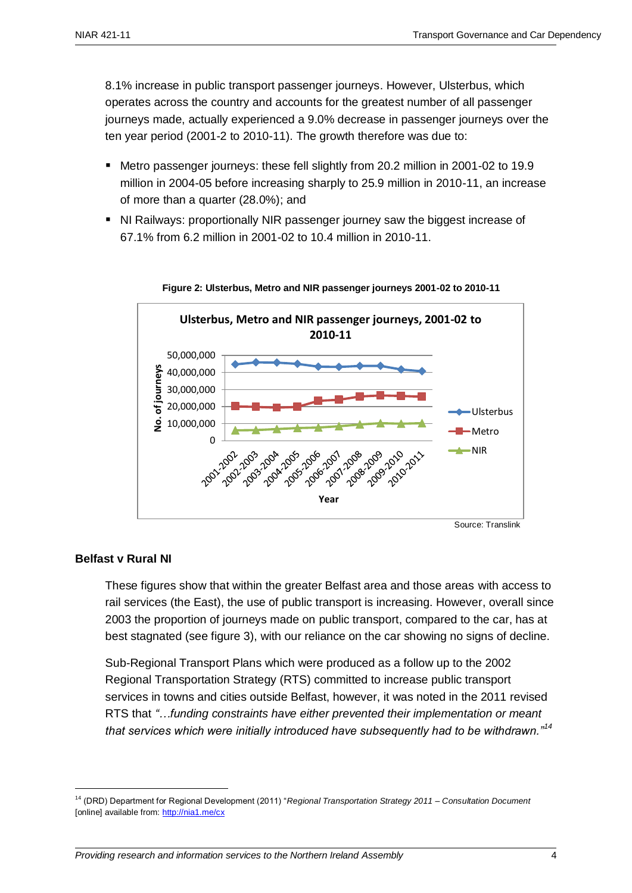8.1% increase in public transport passenger journeys. However, Ulsterbus, which operates across the country and accounts for the greatest number of all passenger journeys made, actually experienced a 9.0% decrease in passenger journeys over the ten year period (2001-2 to 2010-11). The growth therefore was due to:

- Metro passenger journeys: these fell slightly from 20.2 million in 2001-02 to 19.9 million in 2004-05 before increasing sharply to 25.9 million in 2010-11, an increase of more than a quarter (28.0%); and
- NI Railways: proportionally NIR passenger journey saw the biggest increase of 67.1% from 6.2 million in 2001-02 to 10.4 million in 2010-11.





#### **Belfast v Rural NI**

1

These figures show that within the greater Belfast area and those areas with access to rail services (the East), the use of public transport is increasing. However, overall since 2003 the proportion of journeys made on public transport, compared to the car, has at best stagnated (see figure 3), with our reliance on the car showing no signs of decline.

Sub-Regional Transport Plans which were produced as a follow up to the 2002 Regional Transportation Strategy (RTS) committed to increase public transport services in towns and cities outside Belfast, however, it was noted in the 2011 revised RTS that *"…funding constraints have either prevented their implementation or meant that services which were initially introduced have subsequently had to be withdrawn."<sup>14</sup>*

<sup>14</sup> (DRD) Department for Regional Development (2011) "*Regional Transportation Strategy 2011 – Consultation Document* [online] available from:<http://nia1.me/cx>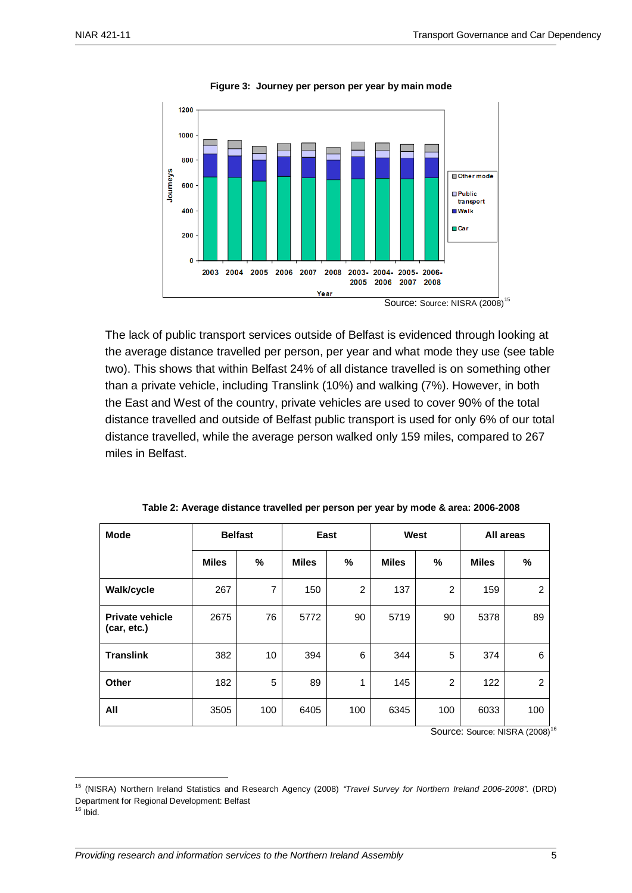

**Figure 3: Journey per person per year by main mode**

The lack of public transport services outside of Belfast is evidenced through looking at the average distance travelled per person, per year and what mode they use (see table two). This shows that within Belfast 24% of all distance travelled is on something other than a private vehicle, including Translink (10%) and walking (7%). However, in both the East and West of the country, private vehicles are used to cover 90% of the total distance travelled and outside of Belfast public transport is used for only 6% of our total distance travelled, while the average person walked only 159 miles, compared to 267

miles in Belfast.

| <b>Mode</b>                           | <b>Belfast</b> |                | East         |                | West         |                | All areas    |                |
|---------------------------------------|----------------|----------------|--------------|----------------|--------------|----------------|--------------|----------------|
|                                       | <b>Miles</b>   | %              | <b>Miles</b> | %              | <b>Miles</b> | %              | <b>Miles</b> | %              |
| Walk/cycle                            | 267            | $\overline{7}$ | 150          | $\overline{2}$ | 137          | $\overline{2}$ | 159          | $\overline{2}$ |
| <b>Private vehicle</b><br>(car, etc.) | 2675           | 76             | 5772         | 90             | 5719         | 90             | 5378         | 89             |
| <b>Translink</b>                      | 382            | 10             | 394          | 6              | 344          | 5              | 374          | 6              |
| Other                                 | 182            | 5              | 89           | 1              | 145          | $\overline{2}$ | 122          | $\overline{2}$ |
| All                                   | 3505           | 100            | 6405         | 100            | 6345         | 100            | 6033         | 100            |

|  | Table 2: Average distance travelled per person per year by mode & area: 2006-2008 |  |
|--|-----------------------------------------------------------------------------------|--|
|--|-----------------------------------------------------------------------------------|--|

Source: Source: NISRA (2008)<sup>16</sup>

 $16$  Ibid.

1

<sup>15</sup> (NISRA) Northern Ireland Statistics and Research Agency (2008) *"Travel Survey for Northern Ireland 2006-2008".* (DRD) Department for Regional Development: Belfast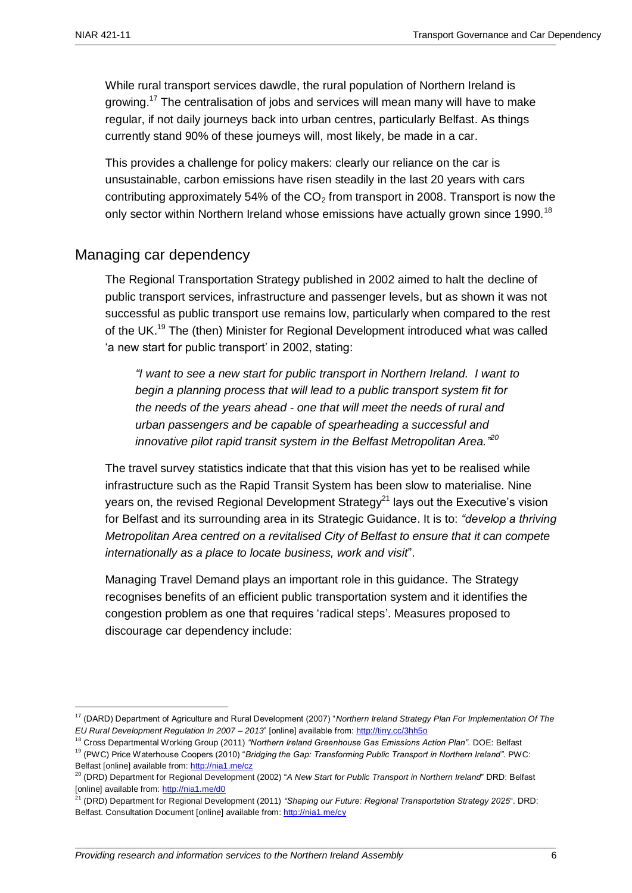1

While rural transport services dawdle, the rural population of Northern Ireland is growing.<sup>17</sup> The centralisation of jobs and services will mean many will have to make regular, if not daily journeys back into urban centres, particularly Belfast. As things currently stand 90% of these journeys will, most likely, be made in a car.

This provides a challenge for policy makers: clearly our reliance on the car is unsustainable, carbon emissions have risen steadily in the last 20 years with cars contributing approximately 54% of the  $CO<sub>2</sub>$  from transport in 2008. Transport is now the only sector within Northern Ireland whose emissions have actually grown since 1990.<sup>18</sup>

## Managing car dependency

The Regional Transportation Strategy published in 2002 aimed to halt the decline of public transport services, infrastructure and passenger levels, but as shown it was not successful as public transport use remains low, particularly when compared to the rest of the UK.<sup>19</sup> The (then) Minister for Regional Development introduced what was called 'a new start for public transport' in 2002, stating:

*"I want to see a new start for public transport in Northern Ireland. I want to begin a planning process that will lead to a public transport system fit for the needs of the years ahead - one that will meet the needs of rural and urban passengers and be capable of spearheading a successful and innovative pilot rapid transit system in the Belfast Metropolitan Area." 20*

The travel survey statistics indicate that that this vision has yet to be realised while infrastructure such as the Rapid Transit System has been slow to materialise. Nine years on, the revised Regional Development Strategy<sup>21</sup> lays out the Executive's vision for Belfast and its surrounding area in its Strategic Guidance. It is to: *"develop a thriving Metropolitan Area centred on a revitalised City of Belfast to ensure that it can compete internationally as a place to locate business, work and visit*".

Managing Travel Demand plays an important role in this guidance. The Strategy recognises benefits of an efficient public transportation system and it identifies the congestion problem as one that requires "radical steps". Measures proposed to discourage car dependency include:

<sup>17</sup> (DARD) Department of Agriculture and Rural Development (2007) "*Northern Ireland Strategy Plan For Implementation Of The EU Rural Development Regulation In 2007 – 2013*" [online] available from:<http://tiny.cc/3hh5o>

<sup>18</sup> Cross Departmental Working Group (2011) *"Northern Ireland Greenhouse Gas Emissions Action Plan".* DOE: Belfast <sup>19</sup> (PWC) Price Waterhouse Coopers (2010) "*Bridging the Gap: Transforming Public Transport in Northern Ireland"*. PWC: Belfast [online] available from:<http://nia1.me/cz>

<sup>20</sup> (DRD) Department for Regional Development (2002) "*A New Start for Public Transport in Northern Ireland*" DRD: Belfast [online] available from:<http://nia1.me/d0>

<sup>21</sup> (DRD) Department for Regional Development (2011) *"Shaping our Future: Regional Transportation Strategy 2025*". DRD: Belfast. Consultation Document [online] available from[: http://nia1.me/cy](http://nia1.me/cy)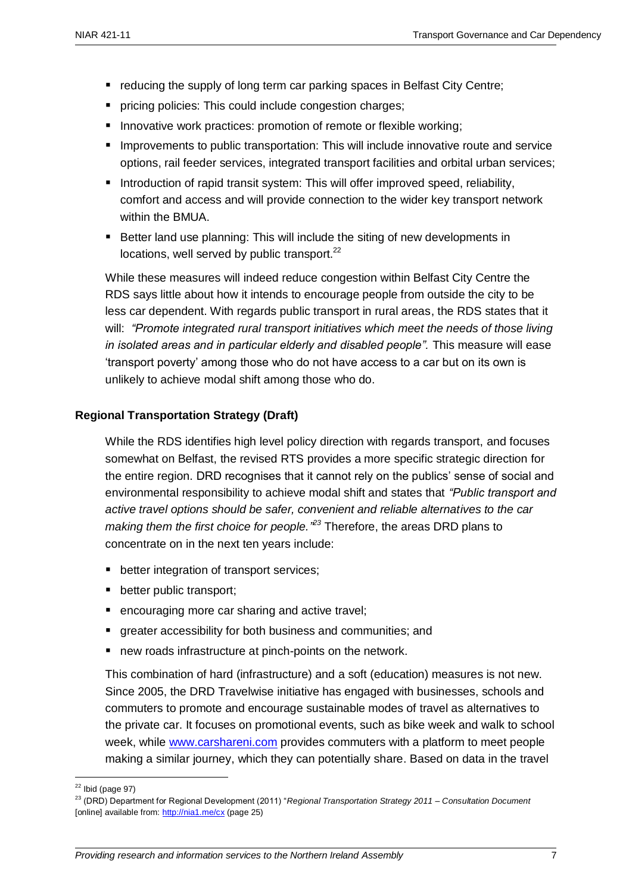- **•** reducing the supply of long term car parking spaces in Belfast City Centre;
- pricing policies: This could include congestion charges;
- Innovative work practices: promotion of remote or flexible working;
- **IMPROVEMENTS TO PUBLIC TRANSPORT AND INCLUDE IN INCLUDE 10** IMPROVERTING **INCLUDE 1** IMPROVERTHING **INCLUDE 1** IMPROVERTHING **INCLUDE 1** IMPROVERTHING **INCLUDE 1** IMPROVERTHING **INCLUDE 1** IMPROVERTHING **INCLUDE 1** IMPROV options, rail feeder services, integrated transport facilities and orbital urban services;
- Introduction of rapid transit system: This will offer improved speed, reliability, comfort and access and will provide connection to the wider key transport network within the BMUA.
- Better land use planning: This will include the siting of new developments in locations, well served by public transport.<sup>22</sup>

While these measures will indeed reduce congestion within Belfast City Centre the RDS says little about how it intends to encourage people from outside the city to be less car dependent. With regards public transport in rural areas, the RDS states that it will: *"Promote integrated rural transport initiatives which meet the needs of those living in isolated areas and in particular elderly and disabled people".* This measure will ease "transport poverty" among those who do not have access to a car but on its own is unlikely to achieve modal shift among those who do.

## **Regional Transportation Strategy (Draft)**

While the RDS identifies high level policy direction with regards transport, and focuses somewhat on Belfast, the revised RTS provides a more specific strategic direction for the entire region. DRD recognises that it cannot rely on the publics" sense of social and environmental responsibility to achieve modal shift and states that *"Public transport and active travel options should be safer, convenient and reliable alternatives to the car making them the first choice for people." <sup>23</sup>* Therefore, the areas DRD plans to concentrate on in the next ten years include:

- **•** better integration of transport services;
- **•** better public transport;
- encouraging more car sharing and active travel;
- greater accessibility for both business and communities; and
- new roads infrastructure at pinch-points on the network.

This combination of hard (infrastructure) and a soft (education) measures is not new. Since 2005, the DRD Travelwise initiative has engaged with businesses, schools and commuters to promote and encourage sustainable modes of travel as alternatives to the private car. It focuses on promotional events, such as bike week and walk to school week, while [www.carshareni.com](http://www.carshareni.com/) provides commuters with a platform to meet people making a similar journey, which they can potentially share. Based on data in the travel

1

 $22$  Ibid (page 97)

<sup>23</sup> (DRD) Department for Regional Development (2011) "*Regional Transportation Strategy 2011 – Consultation Document* [online] available from:<http://nia1.me/cx> (page 25)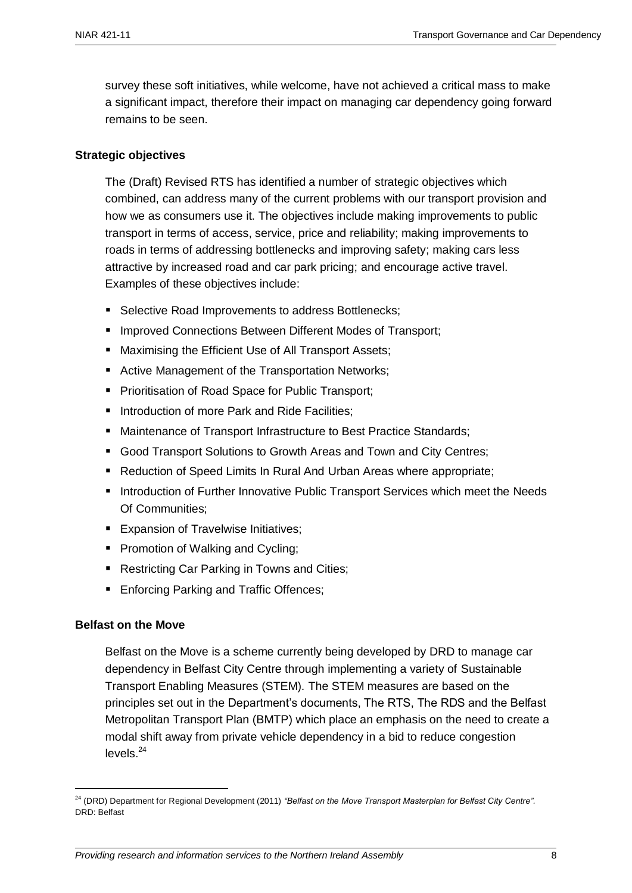survey these soft initiatives, while welcome, have not achieved a critical mass to make a significant impact, therefore their impact on managing car dependency going forward remains to be seen.

## **Strategic objectives**

The (Draft) Revised RTS has identified a number of strategic objectives which combined, can address many of the current problems with our transport provision and how we as consumers use it. The objectives include making improvements to public transport in terms of access, service, price and reliability; making improvements to roads in terms of addressing bottlenecks and improving safety; making cars less attractive by increased road and car park pricing; and encourage active travel. Examples of these objectives include:

- Selective Road Improvements to address Bottlenecks:
- Improved Connections Between Different Modes of Transport;
- Maximising the Efficient Use of All Transport Assets;
- Active Management of the Transportation Networks;
- **Prioritisation of Road Space for Public Transport;**
- Introduction of more Park and Ride Facilities:
- Maintenance of Transport Infrastructure to Best Practice Standards;
- Good Transport Solutions to Growth Areas and Town and City Centres;
- Reduction of Speed Limits In Rural And Urban Areas where appropriate;
- Introduction of Further Innovative Public Transport Services which meet the Needs Of Communities;
- **Expansion of Travelwise Initiatives;**
- **Promotion of Walking and Cycling;**
- Restricting Car Parking in Towns and Cities;
- **Enforcing Parking and Traffic Offences;**

#### **Belfast on the Move**

1

Belfast on the Move is a scheme currently being developed by DRD to manage car dependency in Belfast City Centre through implementing a variety of Sustainable Transport Enabling Measures (STEM). The STEM measures are based on the principles set out in the Department"s documents, The RTS, The RDS and the Belfast Metropolitan Transport Plan (BMTP) which place an emphasis on the need to create a modal shift away from private vehicle dependency in a bid to reduce congestion levels.<sup>24</sup>

<sup>24</sup> (DRD) Department for Regional Development (2011) *"Belfast on the Move Transport Masterplan for Belfast City Centre".*  DRD: Belfast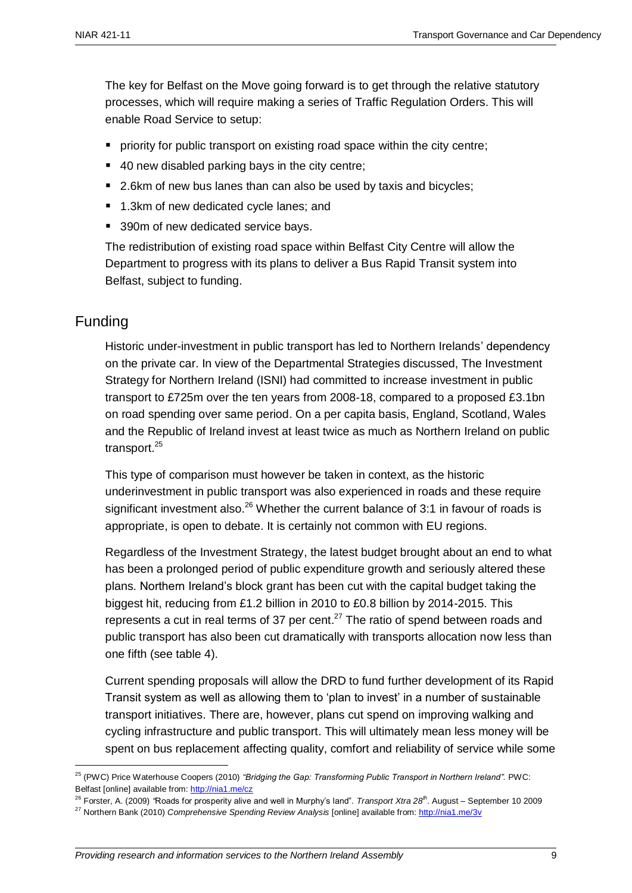The key for Belfast on the Move going forward is to get through the relative statutory processes, which will require making a series of Traffic Regulation Orders. This will enable Road Service to setup:

- **Periority for public transport on existing road space within the city centre;**
- 40 new disabled parking bays in the city centre;
- 2.6km of new bus lanes than can also be used by taxis and bicycles;
- 1.3km of new dedicated cycle lanes; and
- 390m of new dedicated service bays.

The redistribution of existing road space within Belfast City Centre will allow the Department to progress with its plans to deliver a Bus Rapid Transit system into Belfast, subject to funding.

## Funding

1

Historic under-investment in public transport has led to Northern Irelands' dependency on the private car. In view of the Departmental Strategies discussed, The Investment Strategy for Northern Ireland (ISNI) had committed to increase investment in public transport to £725m over the ten years from 2008-18, compared to a proposed £3.1bn on road spending over same period. On a per capita basis, England, Scotland, Wales and the Republic of Ireland invest at least twice as much as Northern Ireland on public transport.<sup>25</sup>

This type of comparison must however be taken in context, as the historic underinvestment in public transport was also experienced in roads and these require significant investment also.<sup>26</sup> Whether the current balance of 3:1 in favour of roads is appropriate, is open to debate. It is certainly not common with EU regions.

Regardless of the Investment Strategy, the latest budget brought about an end to what has been a prolonged period of public expenditure growth and seriously altered these plans. Northern Ireland"s block grant has been cut with the capital budget taking the biggest hit, reducing from £1.2 billion in 2010 to £0.8 billion by 2014-2015. This represents a cut in real terms of 37 per cent. $^{27}$  The ratio of spend between roads and public transport has also been cut dramatically with transports allocation now less than one fifth (see table 4).

Current spending proposals will allow the DRD to fund further development of its Rapid Transit system as well as allowing them to "plan to invest" in a number of sustainable transport initiatives. There are, however, plans cut spend on improving walking and cycling infrastructure and public transport. This will ultimately mean less money will be spent on bus replacement affecting quality, comfort and reliability of service while some

<sup>26</sup> Forster, A. (2009) *"*Roads for prosperity alive and well in Murphy"s land"*. Transport Xtra 28th*. August – September 10 2009

<sup>25</sup> (PWC) Price Waterhouse Coopers (2010) *"Bridging the Gap: Transforming Public Transport in Northern Ireland".* PWC: Belfast [online] available from:<http://nia1.me/cz>

<sup>&</sup>lt;sup>27</sup> Northern Bank (2010) *Comprehensive Spending Review Analysis* [online] available from:<http://nia1.me/3v>